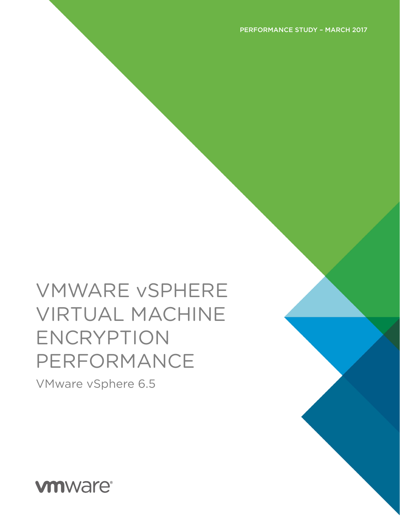VMware vSphere 6.5

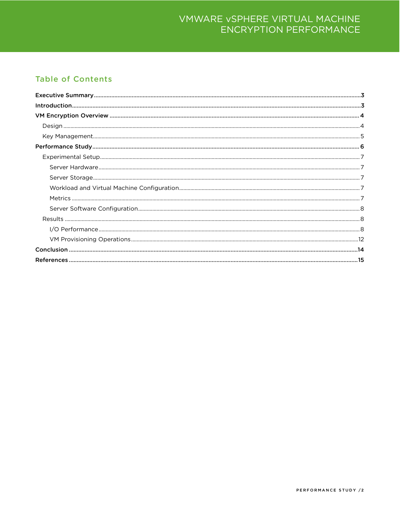#### **Table of Contents**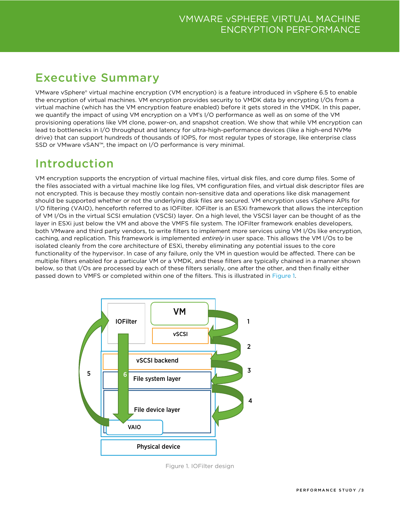# <span id="page-2-0"></span>Executive Summary

VMware vSphere® virtual machine encryption (VM encryption) is a feature introduced in vSphere 6.5 to enable the encryption of virtual machines. VM encryption provides security to VMDK data by encrypting I/Os from a virtual machine (which has the VM encryption feature enabled) before it gets stored in the VMDK. In this paper, we quantify the impact of using VM encryption on a VM's I/O performance as well as on some of the VM provisioning operations like VM clone, power-on, and snapshot creation. We show that while VM encryption can lead to bottlenecks in I/O throughput and latency for ultra-high-performance devices (like a high-end NVMe drive) that can support hundreds of thousands of IOPS, for most regular types of storage, like enterprise class SSD or VMware vSAN™, the impact on I/O performance is very minimal.

# <span id="page-2-1"></span>Introduction

VM encryption supports the encryption of virtual machine files, virtual disk files, and core dump files. Some of the files associated with a virtual machine like log files, VM configuration files, and virtual disk descriptor files are not encrypted. This is because they mostly contain non-sensitive data and operations like disk management should be supported whether or not the underlying disk files are secured. VM encryption uses vSphere APIs for I/O filtering (VAIO), henceforth referred to as IOFilter. IOFilter is an ESXi framework that allows the interception of VM I/Os in the virtual SCSI emulation (VSCSI) layer. On a high level, the VSCSI layer can be thought of as the layer in ESXi just below the VM and above the VMFS file system. The IOFilter framework enables developers, both VMware and third party vendors, to write filters to implement more services using VM I/Os like encryption, caching, and replication. This framework is implemented *entirely* in user space. This allows the VM I/Os to be isolated cleanly from the core architecture of ESXi, thereby eliminating any potential issues to the core functionality of the hypervisor. In case of any failure, only the VM in question would be affected. There can be multiple filters enabled for a particular VM or a VMDK, and these filters are typically chained in a manner shown below, so that I/Os are processed by each of these filters serially, one after the other, and then finally either passed down to VMFS or completed within one of the filters. This is illustrated in [Figure 1.](#page-2-2)



<span id="page-2-2"></span>Figure 1. IOFilter design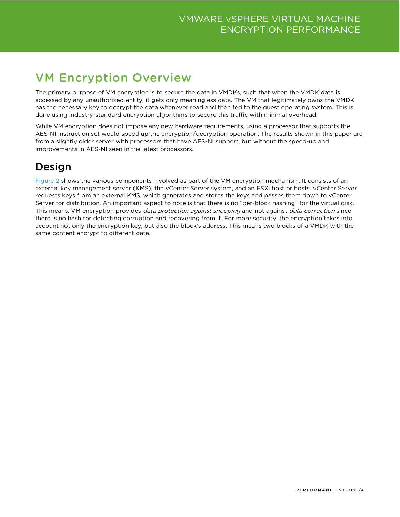# <span id="page-3-0"></span>VM Encryption Overview

The primary purpose of VM encryption is to secure the data in VMDKs, such that when the VMDK data is accessed by any unauthorized entity, it gets only meaningless data. The VM that legitimately owns the VMDK has the necessary key to decrypt the data whenever read and then fed to the guest operating system. This is done using industry-standard encryption algorithms to secure this traffic with minimal overhead.

While VM encryption does not impose any new hardware requirements, using a processor that supports the AES-NI instruction set would speed up the encryption/decryption operation. The results shown in this paper are from a slightly older server with processors that have AES-NI support, but without the speed-up and improvements in AES-NI seen in the latest processors.

### <span id="page-3-1"></span>Design

Figure 2 shows the various components involved as part of the VM encryption mechanism. It consists of an external key management server (KMS), the vCenter Server system, and an ESXi host or hosts. vCenter Server requests keys from an external KMS, which generates and stores the keys and passes them down to vCenter Server for distribution. An important aspect to note is that there is no "per-block hashing" for the virtual disk. This means, VM encryption provides *data protection against snooping* and not against *data corruption* since there is no hash for detecting corruption and recovering from it. For more security, the encryption takes into account not only the encryption key, but also the block's address. This means two blocks of a VMDK with the same content encrypt to different data.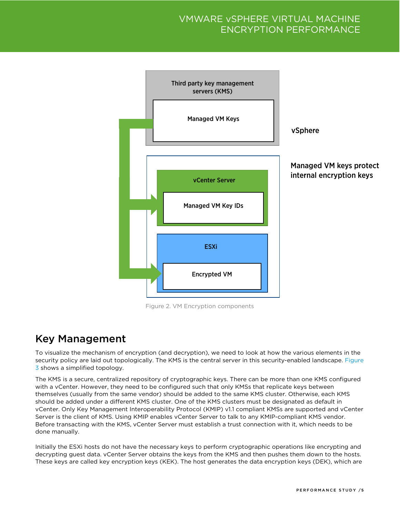

Figure 2. VM Encryption components

### <span id="page-4-0"></span>Key Management

To visualize the mechanism of encryption (and decryption), we need to look at how the various elements in the security policy are laid out topologically. The KMS is the central server in this security-enabled landscape. Figure [3](#page-5-1) shows a simplified topology.

The KMS is a secure, centralized repository of cryptographic keys. There can be more than one KMS configured with a vCenter. However, they need to be configured such that only KMSs that replicate keys between themselves (usually from the same vendor) should be added to the same KMS cluster. Otherwise, each KMS should be added under a different KMS cluster. One of the KMS clusters must be designated as default in vCenter. Only Key Management Interoperability Protocol (KMIP) v1.1 compliant KMSs are supported and vCenter Server is the client of KMS. Using KMIP enables vCenter Server to talk to any KMIP-compliant KMS vendor. Before transacting with the KMS, vCenter Server must establish a trust connection with it, which needs to be done manually.

Initially the ESXi hosts do not have the necessary keys to perform cryptographic operations like encrypting and decrypting guest data. vCenter Server obtains the keys from the KMS and then pushes them down to the hosts. These keys are called key encryption keys (KEK). The host generates the data encryption keys (DEK), which are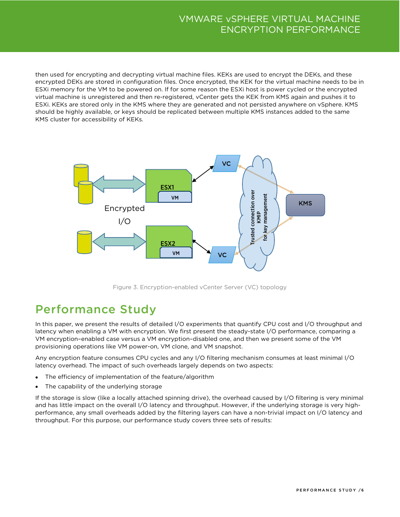then used for encrypting and decrypting virtual machine files. KEKs are used to encrypt the DEKs, and these encrypted DEKs are stored in configuration files. Once encrypted, the KEK for the virtual machine needs to be in ESXi memory for the VM to be powered on. If for some reason the ESXi host is power cycled or the encrypted virtual machine is unregistered and then re-registered, vCenter gets the KEK from KMS again and pushes it to ESXi. KEKs are stored only in the KMS where they are generated and not persisted anywhere on vSphere. KMS should be highly available, or keys should be replicated between multiple KMS instances added to the same KMS cluster for accessibility of KEKs.



Figure 3. Encryption-enabled vCenter Server (VC) topology

# <span id="page-5-1"></span><span id="page-5-0"></span>Performance Study

In this paper, we present the results of detailed I/O experiments that quantify CPU cost and I/O throughput and latency when enabling a VM with encryption. We first present the steady-state I/O performance, comparing a VM encryption–enabled case versus a VM encryption–disabled one, and then we present some of the VM provisioning operations like VM power-on, VM clone, and VM snapshot.

Any encryption feature consumes CPU cycles and any I/O filtering mechanism consumes at least minimal I/O latency overhead. The impact of such overheads largely depends on two aspects:

- The efficiency of implementation of the feature/algorithm
- The capability of the underlying storage

If the storage is slow (like a locally attached spinning drive), the overhead caused by I/O filtering is very minimal and has little impact on the overall I/O latency and throughput. However, if the underlying storage is very highperformance, any small overheads added by the filtering layers can have a non-trivial impact on I/O latency and throughput. For this purpose, our performance study covers three sets of results: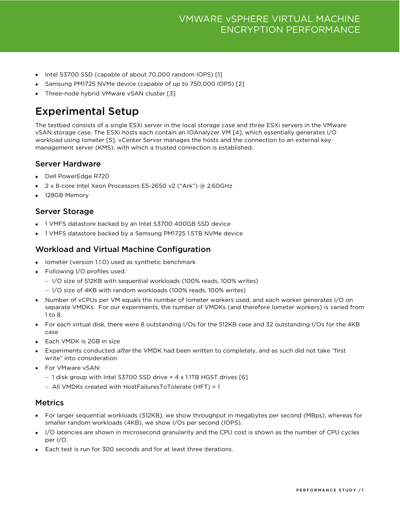- Intel S3700 SSD (capable of about 70,000 random IOPS) [1]
- Samsung PM1725 NVMe device (capable of up to 750,000 IOPS) [2]
- Three-node hybrid VMware vSAN cluster [3]

### <span id="page-6-0"></span>Experimental Setup

The testbed consists of a single ESXi server in the local storage case and three ESXi servers in the VMware vSAN storage case. The ESXi hosts each contain an IOAnalyzer VM [4], which essentially generates I/O workload using Iometer [5]. vCenter Server manages the hosts and the connection to an external key management server (KMS), with which a trusted connection is established.

#### <span id="page-6-1"></span>Server Hardware

- Dell PowerEdge R720
- 2 x 8-core Intel Xeon Processors E5-2650 v2 ("Ark") @ 2.60GHz
- 128GB Memory

#### <span id="page-6-2"></span>Server Storage

- 1 VMFS datastore backed by an Intel S3700 400GB SSD device
- 1 VMFS datastore backed by a Samsung PM1725 1.5TB NVMe device

#### <span id="page-6-3"></span>Workload and Virtual Machine Configuration

- Iometer (version 1.1.0) used as synthetic benchmark
- Following I/O profiles used:
	- I/O size of 512KB with sequential workloads (100% reads, 100% writes)
	- I/O size of 4KB with random workloads (100% reads, 100% writes)
- Number of vCPUs per VM equals the number of Iometer workers used, and each worker generates I/O on separate VMDKs. For our experiments, the number of VMDKs (and therefore Iometer workers) is varied from 1 to 8.
- For each virtual disk, there were 8 outstanding I/Os for the 512KB case and 32 outstanding I/Os for the 4KB case
- Each VMDK is 2GB in size
- Experiments conducted after the VMDK had been written to completely, and as such did not take "first write" into consideration
- For VMware vSAN:
	- 1 disk group with Intel S3700 SSD drive + 4 x 1.1TB HGST drives [6]
	- All VMDKs created with HostFailuresToTolerate (HFT) = 1

#### <span id="page-6-4"></span>Metrics

- For larger sequential workloads (512KB), we show throughput in megabytes per second (MBps), whereas for smaller random workloads (4KB), we show I/Os per second (IOPS).
- I/O latencies are shown in microsecond granularity and the CPU cost is shown as the number of CPU cycles per I/O.
- Each test is run for 300 seconds and for at least three iterations.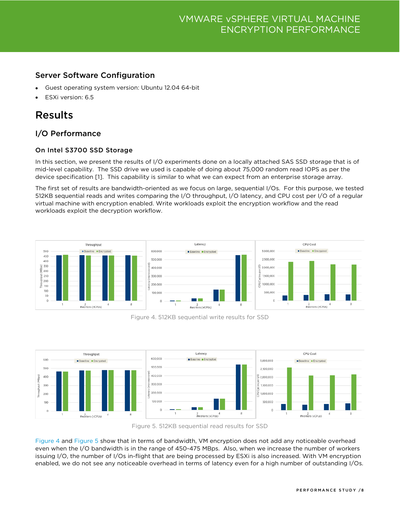#### <span id="page-7-0"></span>Server Software Configuration

- Guest operating system version: Ubuntu 12.04 64-bit
- ESXi version: 6.5

### <span id="page-7-1"></span>Results

#### <span id="page-7-2"></span>I/O Performance

#### On Intel S3700 SSD Storage

In this section, we present the results of I/O experiments done on a locally attached SAS SSD storage that is of mid-level capability. The SSD drive we used is capable of doing about 75,000 random read IOPS as per the device specification [1]. This capability is similar to what we can expect from an enterprise storage array.

The first set of results are bandwidth-oriented as we focus on large, sequential I/Os. For this purpose, we tested 512KB sequential reads and writes comparing the I/O throughput, I/O latency, and CPU cost per I/O of a regular virtual machine with encryption enabled. Write workloads exploit the encryption workflow and the read workloads exploit the decryption workflow.



Figure 4. 512KB sequential write results for SSD

<span id="page-7-3"></span>

Figure 5. 512KB sequential read results for SSD

<span id="page-7-4"></span>[Figure 4](#page-7-3) and [Figure 5](#page-7-4) show that in terms of bandwidth, VM encryption does not add any noticeable overhead even when the I/O bandwidth is in the range of 450-475 MBps. Also, when we increase the number of workers issuing I/O, the number of I/Os in-flight that are being processed by ESXi is also increased. With VM encryption enabled, we do not see any noticeable overhead in terms of latency even for a high number of outstanding I/Os.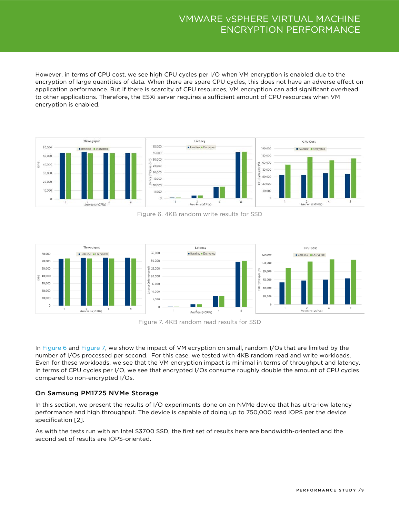However, in terms of CPU cost, we see high CPU cycles per I/O when VM encryption is enabled due to the encryption of large quantities of data. When there are spare CPU cycles, this does not have an adverse effect on application performance. But if there is scarcity of CPU resources, VM encryption can add significant overhead to other applications. Therefore, the ESXi server requires a sufficient amount of CPU resources when VM encryption is enabled.



Figure 6. 4KB random write results for SSD

<span id="page-8-0"></span>

Figure 7. 4KB random read results for SSD

<span id="page-8-1"></span>In [Figure 6](#page-8-0) and [Figure 7,](#page-8-1) we show the impact of VM ecryption on small, random I/Os that are limited by the number of I/Os processed per second. For this case, we tested with 4KB random read and write workloads. Even for these workloads, we see that the VM encryption impact is minimal in terms of throughput and latency. In terms of CPU cycles per I/O, we see that encrypted I/Os consume roughly double the amount of CPU cycles compared to non-encrypted I/Os.

#### On Samsung PM1725 NVMe Storage

In this section, we present the results of I/O experiments done on an NVMe device that has ultra-low latency performance and high throughput. The device is capable of doing up to 750,000 read IOPS per the device specification [2].

As with the tests run with an Intel S3700 SSD, the first set of results here are bandwidth-oriented and the second set of results are IOPS-oriented.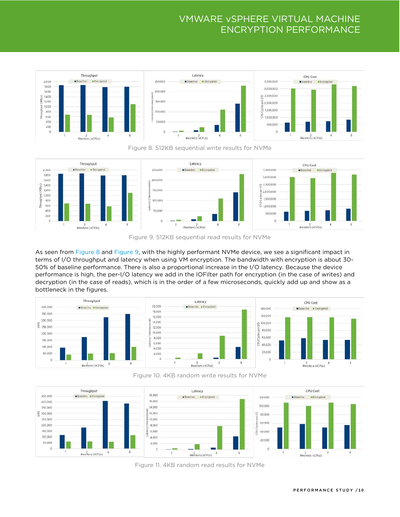



<span id="page-9-0"></span>

Figure 9. 512KB sequential read results for NVMe

<span id="page-9-1"></span>As seen from [Figure 8](#page-9-0) and [Figure 9,](#page-9-1) with the highly performant NVMe device, we see a significant impact in terms of I/O throughput and latency when using VM encryption. The bandwidth with encryption is about 30- 50% of baseline performance. There is also a proportional increase in the I/O latency. Because the device performance is high, the per-I/O latency we add in the IOFilter path for encryption (in the case of writes) and decryption (in the case of reads), which is in the order of a few microseconds, quickly add up and show as a bottleneck in the figures.



Figure 10. 4KB random write results for NVMe

<span id="page-9-3"></span><span id="page-9-2"></span>

Figure 11. 4KB random read results for NVMe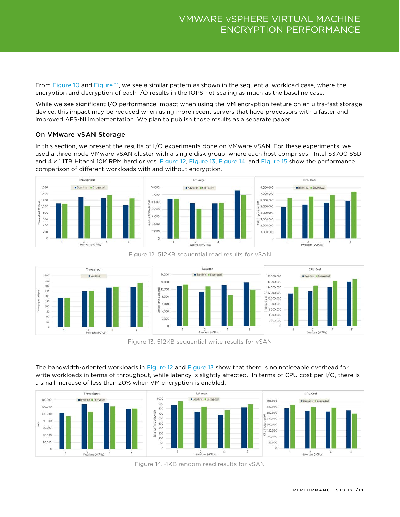From [Figure 10](#page-9-2) and [Figure 11,](#page-9-3) we see a similar pattern as shown in the sequential workload case, where the encryption and decryption of each I/O results in the IOPS not scaling as much as the baseline case.

While we see significant I/O performance impact when using the VM encryption feature on an ultra-fast storage device, this impact may be reduced when using more recent servers that have processors with a faster and improved AES-NI implementation. We plan to publish those results as a separate paper.

#### On VMware vSAN Storage

In this section, we present the results of I/O experiments done on VMware vSAN. For these experiments, we used a three-node VMware vSAN cluster with a single disk group, where each host comprises 1 Intel S3700 SSD and 4 x 1.1TB Hitachi 10K RPM hard drives. [Figure 12,](#page-10-0) [Figure 13,](#page-10-1) [Figure 14,](#page-10-2) and [Figure 15](#page-11-1) show the performance comparison of different workloads with and without encryption.



<span id="page-10-0"></span>

Figure 12. 512KB sequential read results for vSAN

Figure 13. 512KB sequential write results for vSAN

<span id="page-10-1"></span>The bandwidth-oriented workloads in [Figure 12](#page-10-0) and [Figure 13](#page-10-1) show that there is no noticeable overhead for write workloads in terms of throughput, while latency is slightly affected. In terms of CPU cost per I/O, there is a small increase of less than 20% when VM encryption is enabled.

<span id="page-10-2"></span>

Figure 14. 4KB random read results for vSAN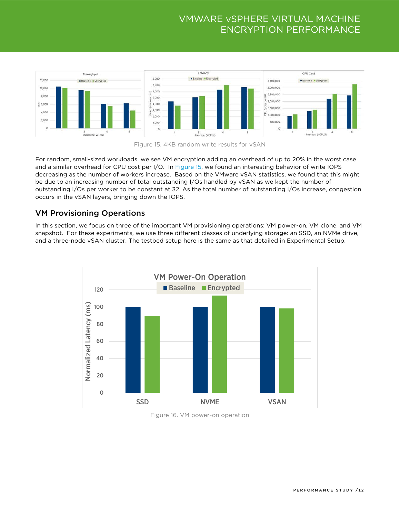



<span id="page-11-1"></span>For random, small-sized workloads, we see VM encryption adding an overhead of up to 20% in the worst case and a similar overhead for CPU cost per I/O. In [Figure 15,](#page-11-1) we found an interesting behavior of write IOPS decreasing as the number of workers increase. Based on the VMware vSAN statistics, we found that this might be due to an increasing number of total outstanding I/Os handled by vSAN as we kept the number of outstanding I/Os per worker to be constant at 32. As the total number of outstanding I/Os increase, congestion occurs in the vSAN layers, bringing down the IOPS.

#### <span id="page-11-0"></span>VM Provisioning Operations

In this section, we focus on three of the important VM provisioning operations: VM power-on, VM clone, and VM snapshot. For these experiments, we use three different classes of underlying storage: an SSD, an NVMe drive, and a three-node vSAN cluster. The testbed setup here is the same as that detailed in [Experimental](#page-6-0) Setup.



<span id="page-11-2"></span>Figure 16. VM power-on operation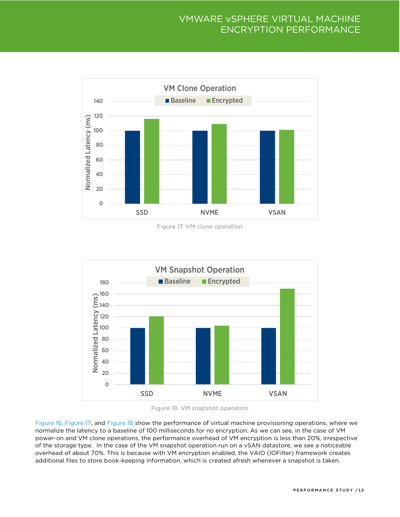

Figure 17. VM clone operation

<span id="page-12-0"></span>



<span id="page-12-1"></span>[Figure 16,](#page-11-2) [Figure 17,](#page-12-0) and [Figure 18](#page-12-1) show the performance of virtual machine provisioning operations, where we normalize the latency to a baseline of 100 milliseconds for no encryption. As we can see, in the case of VM power-on and VM clone operations, the performance overhead of VM encryption is less than 20%, irrespective of the storage type. In the case of the VM snapshot operation run on a vSAN datastore, we see a noticeable overhead of about 70%. This is because with VM encryption enabled, the VAIO (IOFilter) framework creates additional files to store book-keeping information, which is created afresh whenever a snapshot is taken.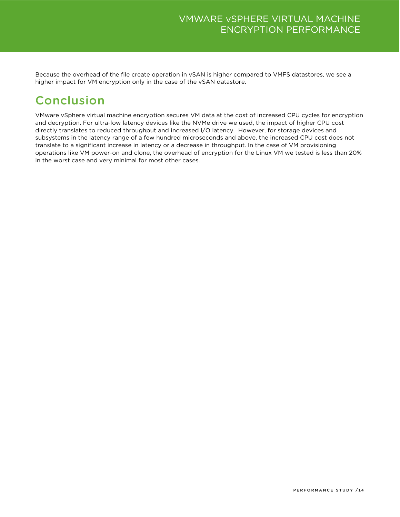Because the overhead of the file create operation in vSAN is higher compared to VMFS datastores, we see a higher impact for VM encryption only in the case of the vSAN datastore.

# <span id="page-13-0"></span>Conclusion

VMware vSphere virtual machine encryption secures VM data at the cost of increased CPU cycles for encryption and decryption. For ultra-low latency devices like the NVMe drive we used, the impact of higher CPU cost directly translates to reduced throughput and increased I/O latency. However, for storage devices and subsystems in the latency range of a few hundred microseconds and above, the increased CPU cost does not translate to a significant increase in latency or a decrease in throughput. In the case of VM provisioning operations like VM power-on and clone, the overhead of encryption for the Linux VM we tested is less than 20% in the worst case and very minimal for most other cases.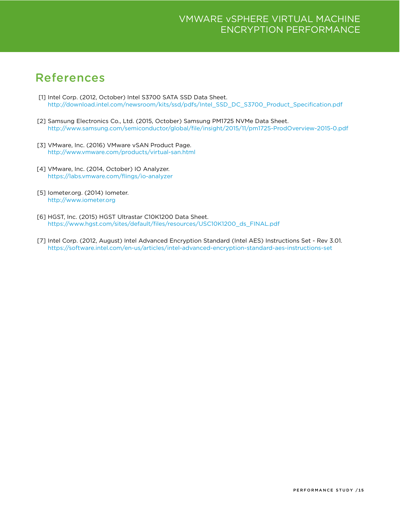## <span id="page-14-0"></span>References

- [1] Intel Corp. (2012, October) Intel S3700 SATA SSD Data Sheet. [http://download.intel.com/newsroom/kits/ssd/pdfs/Intel\\_SSD\\_DC\\_S3700\\_Product\\_Specification.pdf](http://download.intel.com/newsroom/kits/ssd/pdfs/Intel_SSD_DC_S3700_Product_Specification.pdf)
- [2] Samsung Electronics Co., Ltd. (2015, October) Samsung PM1725 NVMe Data Sheet. <http://www.samsung.com/semiconductor/global/file/insight/2015/11/pm1725-ProdOverview-2015-0.pdf>
- [3] VMware, Inc. (2016) VMware vSAN Product Page. <http://www.vmware.com/products/virtual-san.html>
- [4] VMware, Inc. (2014, October) IO Analyzer. <https://labs.vmware.com/flings/io-analyzer>
- [5] Iometer.org. (2014) Iometer. [http://www.iometer.org](http://www.iometer.org/)
- [6] HGST, Inc. (2015) HGST Ultrastar C10K1200 Data Sheet. [https://www.hgst.com/sites/default/files/resources/USC10K1200\\_ds\\_FINAL.pdf](https://www.hgst.com/sites/default/files/resources/USC10K1200_ds_FINAL.pdf)
- [7] Intel Corp. (2012, August) Intel Advanced Encryption Standard (Intel AES) Instructions Set Rev 3.01. <https://software.intel.com/en-us/articles/intel-advanced-encryption-standard-aes-instructions-set>